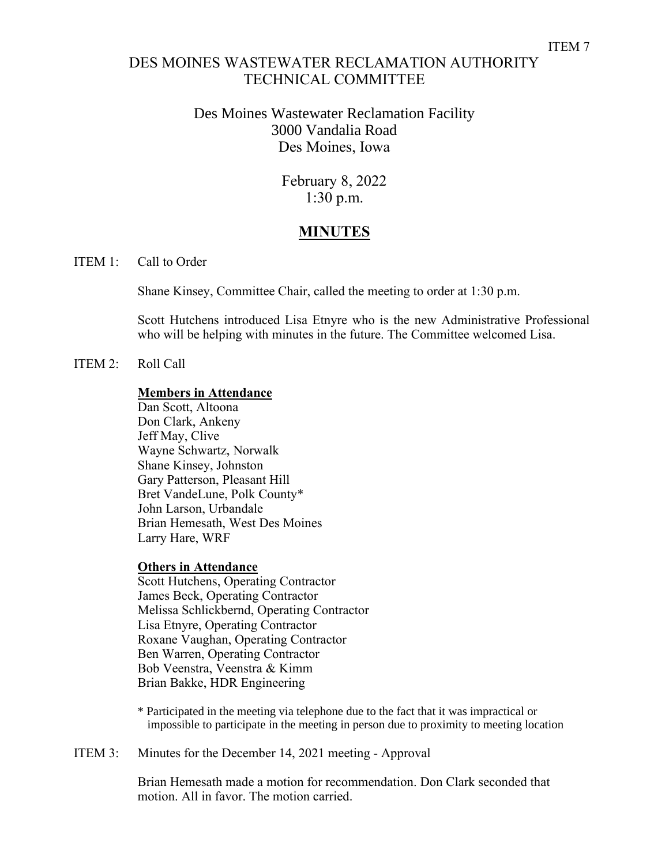# DES MOINES WASTEWATER RECLAMATION AUTHORITY TECHNICAL COMMITTEE

### Des Moines Wastewater Reclamation Facility 3000 Vandalia Road Des Moines, Iowa

February 8, 2022 1:30 p.m.

# **MINUTES**

### ITEM 1: Call to Order

Shane Kinsey, Committee Chair, called the meeting to order at 1:30 p.m.

Scott Hutchens introduced Lisa Etnyre who is the new Administrative Professional who will be helping with minutes in the future. The Committee welcomed Lisa.

ITEM 2: Roll Call

### **Members in Attendance**

Dan Scott, Altoona Don Clark, Ankeny Jeff May, Clive Wayne Schwartz, Norwalk Shane Kinsey, Johnston Gary Patterson, Pleasant Hill Bret VandeLune, Polk County\* John Larson, Urbandale Brian Hemesath, West Des Moines Larry Hare, WRF

#### **Others in Attendance**

Scott Hutchens, Operating Contractor James Beck, Operating Contractor Melissa Schlickbernd, Operating Contractor Lisa Etnyre, Operating Contractor Roxane Vaughan, Operating Contractor Ben Warren, Operating Contractor Bob Veenstra, Veenstra & Kimm Brian Bakke, HDR Engineering

\* Participated in the meeting via telephone due to the fact that it was impractical or impossible to participate in the meeting in person due to proximity to meeting location

ITEM 3: Minutes for the December 14, 2021 meeting - Approval

Brian Hemesath made a motion for recommendation. Don Clark seconded that motion. All in favor. The motion carried.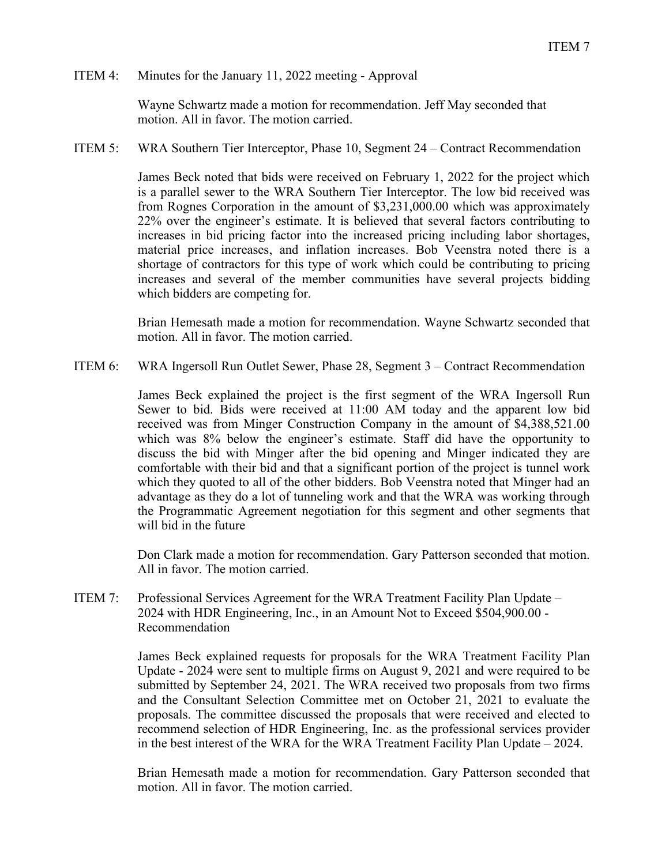### ITEM 4: Minutes for the January 11, 2022 meeting - Approval

Wayne Schwartz made a motion for recommendation. Jeff May seconded that motion. All in favor. The motion carried.

ITEM 5: WRA Southern Tier Interceptor, Phase 10, Segment 24 – Contract Recommendation

James Beck noted that bids were received on February 1, 2022 for the project which is a parallel sewer to the WRA Southern Tier Interceptor. The low bid received was from Rognes Corporation in the amount of \$3,231,000.00 which was approximately 22% over the engineer's estimate. It is believed that several factors contributing to increases in bid pricing factor into the increased pricing including labor shortages, material price increases, and inflation increases. Bob Veenstra noted there is a shortage of contractors for this type of work which could be contributing to pricing increases and several of the member communities have several projects bidding which bidders are competing for.

Brian Hemesath made a motion for recommendation. Wayne Schwartz seconded that motion. All in favor. The motion carried.

ITEM 6: WRA Ingersoll Run Outlet Sewer, Phase 28, Segment 3 – Contract Recommendation

James Beck explained the project is the first segment of the WRA Ingersoll Run Sewer to bid. Bids were received at 11:00 AM today and the apparent low bid received was from Minger Construction Company in the amount of \$4,388,521.00 which was 8% below the engineer's estimate. Staff did have the opportunity to discuss the bid with Minger after the bid opening and Minger indicated they are comfortable with their bid and that a significant portion of the project is tunnel work which they quoted to all of the other bidders. Bob Veenstra noted that Minger had an advantage as they do a lot of tunneling work and that the WRA was working through the Programmatic Agreement negotiation for this segment and other segments that will bid in the future

Don Clark made a motion for recommendation. Gary Patterson seconded that motion. All in favor. The motion carried.

ITEM 7: Professional Services Agreement for the WRA Treatment Facility Plan Update – 2024 with HDR Engineering, Inc., in an Amount Not to Exceed \$504,900.00 - Recommendation

> James Beck explained requests for proposals for the WRA Treatment Facility Plan Update - 2024 were sent to multiple firms on August 9, 2021 and were required to be submitted by September 24, 2021. The WRA received two proposals from two firms and the Consultant Selection Committee met on October 21, 2021 to evaluate the proposals. The committee discussed the proposals that were received and elected to recommend selection of HDR Engineering, Inc. as the professional services provider in the best interest of the WRA for the WRA Treatment Facility Plan Update – 2024.

> Brian Hemesath made a motion for recommendation. Gary Patterson seconded that motion. All in favor. The motion carried.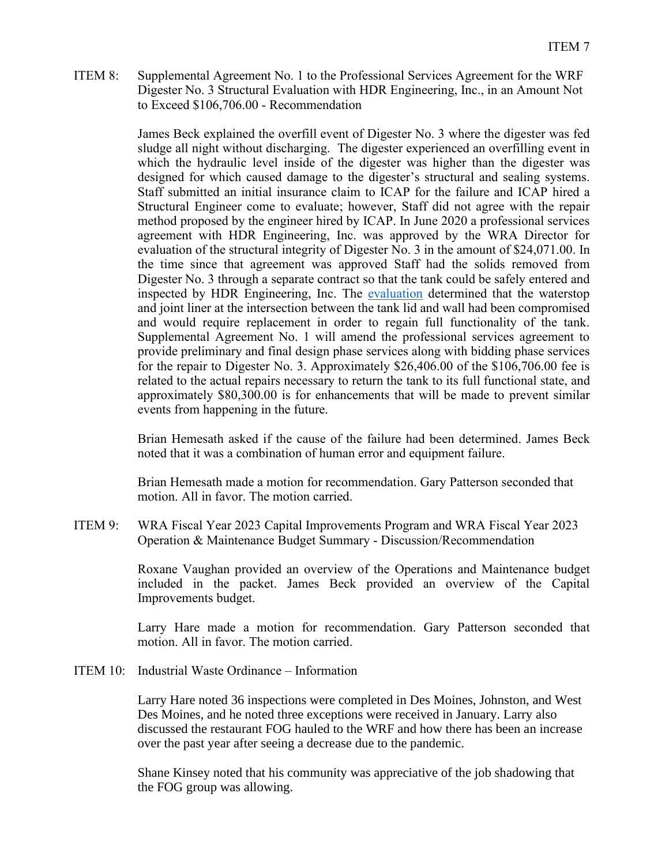ITEM 8: Supplemental Agreement No. 1 to the Professional Services Agreement for the WRF Digester No. 3 Structural Evaluation with HDR Engineering, Inc., in an Amount Not to Exceed \$106,706.00 - Recommendation

> James Beck explained the overfill event of Digester No. 3 where the digester was fed sludge all night without discharging. The digester experienced an overfilling event in which the hydraulic level inside of the digester was higher than the digester was designed for which caused damage to the digester's structural and sealing systems. Staff submitted an initial insurance claim to ICAP for the failure and ICAP hired a Structural Engineer come to evaluate; however, Staff did not agree with the repair method proposed by the engineer hired by ICAP. In June 2020 a professional services agreement with HDR Engineering, Inc. was approved by the WRA Director for evaluation of the structural integrity of Digester No. 3 in the amount of \$24,071.00. In the time since that agreement was approved Staff had the solids removed from Digester No. 3 through a separate contract so that the tank could be safely entered and inspected by HDR Engineering, Inc. The [evaluation](https://www.dmmwra.org/DocumentCenter/View/822/WRA-Digester-No-3-Structural-Assessment) determined that the waterstop and joint liner at the intersection between the tank lid and wall had been compromised and would require replacement in order to regain full functionality of the tank. Supplemental Agreement No. 1 will amend the professional services agreement to provide preliminary and final design phase services along with bidding phase services for the repair to Digester No. 3. Approximately \$26,406.00 of the \$106,706.00 fee is related to the actual repairs necessary to return the tank to its full functional state, and approximately \$80,300.00 is for enhancements that will be made to prevent similar events from happening in the future.

> Brian Hemesath asked if the cause of the failure had been determined. James Beck noted that it was a combination of human error and equipment failure.

Brian Hemesath made a motion for recommendation. Gary Patterson seconded that motion. All in favor. The motion carried.

ITEM 9: WRA Fiscal Year 2023 Capital Improvements Program and WRA Fiscal Year 2023 Operation & Maintenance Budget Summary - Discussion/Recommendation

> Roxane Vaughan provided an overview of the Operations and Maintenance budget included in the packet. James Beck provided an overview of the Capital Improvements budget.

> Larry Hare made a motion for recommendation. Gary Patterson seconded that motion. All in favor. The motion carried.

ITEM 10: Industrial Waste Ordinance – Information

Larry Hare noted 36 inspections were completed in Des Moines, Johnston, and West Des Moines, and he noted three exceptions were received in January. Larry also discussed the restaurant FOG hauled to the WRF and how there has been an increase over the past year after seeing a decrease due to the pandemic.

Shane Kinsey noted that his community was appreciative of the job shadowing that the FOG group was allowing.